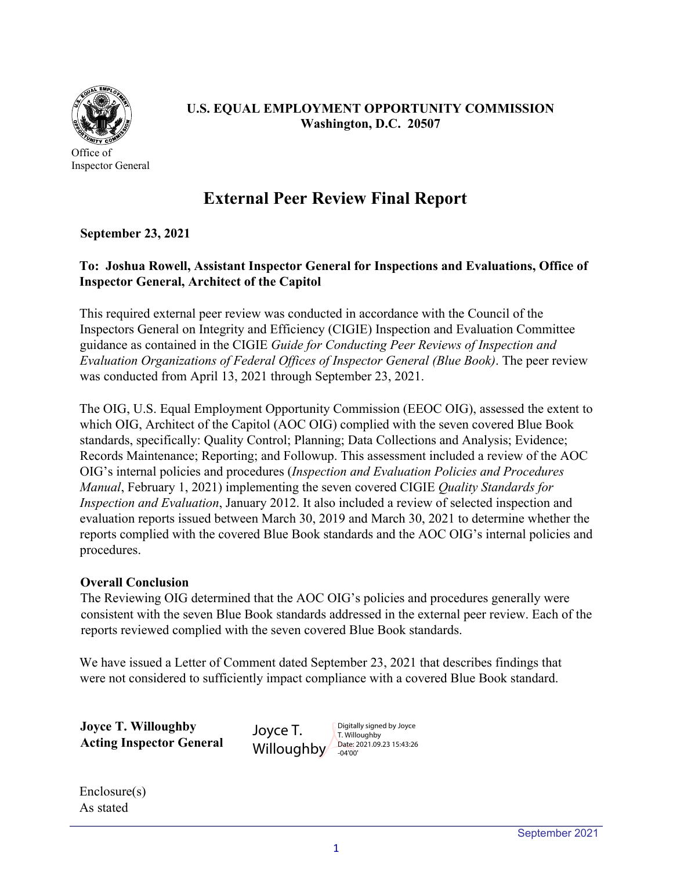

Office of Inspector General

## **U.S. EQUAL EMPLOYMENT OPPORTUNITY COMMISSION Washington, D.C. 20507**

# **External Peer Review Final Report**

## **September 23, 2021**

## **To: Joshua Rowell, Assistant Inspector General for Inspections and Evaluations, Office of Inspector General, Architect of the Capitol**

This required external peer review was conducted in accordance with the Council of the Inspectors General on Integrity and Efficiency (CIGIE) Inspection and Evaluation Committee guidance as contained in the CIGIE *Guide for Conducting Peer Reviews of Inspection and Evaluation Organizations of Federal Offices of Inspector General (Blue Book)*. The peer review was conducted from April 13, 2021 through September 23, 2021.

The OIG, U.S. Equal Employment Opportunity Commission (EEOC OIG), assessed the extent to which OIG, Architect of the Capitol (AOC OIG) complied with the seven covered Blue Book standards, specifically: Quality Control; Planning; Data Collections and Analysis; Evidence; Records Maintenance; Reporting; and Followup. This assessment included a review of the AOC OIG's internal policies and procedures (*Inspection and Evaluation Policies and Procedures Manual*, February 1, 2021) implementing the seven covered CIGIE *Quality Standards for Inspection and Evaluation*, January 2012. It also included a review of selected inspection and evaluation reports issued between March 30, 2019 and March 30, 2021 to determine whether the reports complied with the covered Blue Book standards and the AOC OIG's internal policies and procedures.

#### **Overall Conclusion**

The Reviewing OIG determined that the AOC OIG's policies and procedures generally were consistent with the seven Blue Book standards addressed in the external peer review. Each of the reports reviewed complied with the seven covered Blue Book standards.

We have issued a Letter of Comment dated September 23, 2021 that describes findings that were not considered to sufficiently impact compliance with a covered Blue Book standard.

**Joyce T. Willoughby Acting Inspector General**  Joyce T. **Willoughby** 

Digitally signed by Joyce T. Willoughby Date: 2021.09.23 15:43:26 -04'00'

Enclosure(s) As stated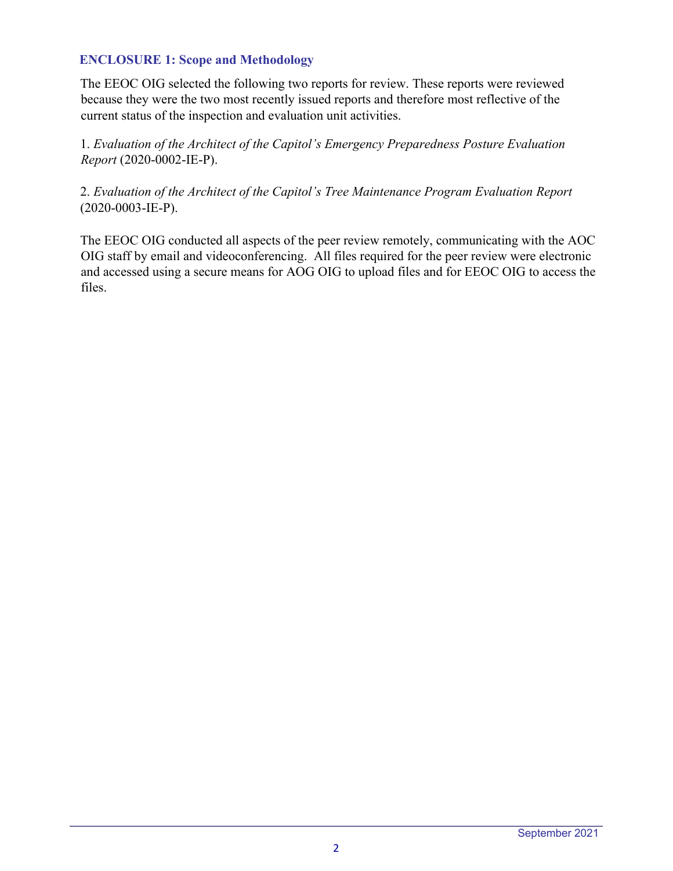### **ENCLOSURE 1: Scope and Methodology**

The EEOC OIG selected the following two reports for review. These reports were reviewed because they were the two most recently issued reports and therefore most reflective of the current status of the inspection and evaluation unit activities.

1. *Evaluation of the Architect of the Capitol's Emergency Preparedness Posture Evaluation Report* (2020-0002-IE-P).

### 2. *Evaluation of the Architect of the Capitol's Tree Maintenance Program Evaluation Report* (2020-0003-IE-P).

The EEOC OIG conducted all aspects of the peer review remotely, communicating with the AOC OIG staff by email and videoconferencing. All files required for the peer review were electronic and accessed using a secure means for AOG OIG to upload files and for EEOC OIG to access the files.